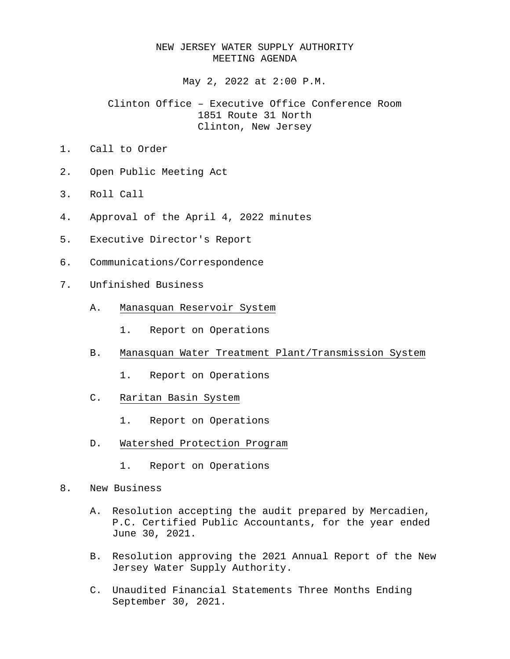## NEW JERSEY WATER SUPPLY AUTHORITY MEETING AGENDA

May 2, 2022 at 2:00 P.M.

## Clinton Office – Executive Office Conference Room 1851 Route 31 North Clinton, New Jersey

- 1. Call to Order
- 2. Open Public Meeting Act
- 3. Roll Call
- 4. Approval of the April 4, 2022 minutes
- 5. Executive Director's Report
- 6. Communications/Correspondence
- 7. Unfinished Business
	- A. Manasquan Reservoir System
		- 1. Report on Operations
	- B. Manasquan Water Treatment Plant/Transmission System
		- 1. Report on Operations
	- C. Raritan Basin System
		- 1. Report on Operations
	- D. Watershed Protection Program
		- 1. Report on Operations
- 8. New Business
	- A. Resolution accepting the audit prepared by Mercadien, P.C. Certified Public Accountants, for the year ended June 30, 2021.
	- B. Resolution approving the 2021 Annual Report of the New Jersey Water Supply Authority.
	- C. Unaudited Financial Statements Three Months Ending September 30, 2021.